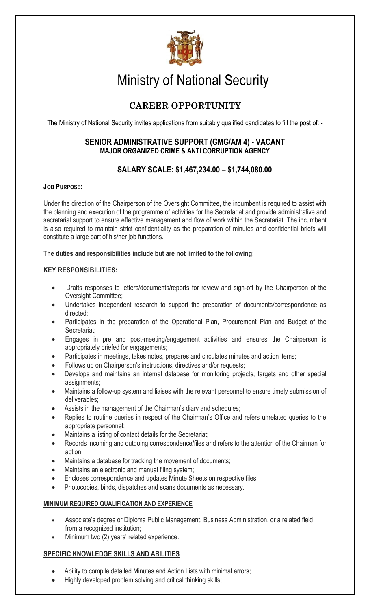

# Ministry of National Security

# **CAREER OPPORTUNITY**

The Ministry of National Security invites applications from suitably qualified candidates to fill the post of: -

## **SENIOR ADMINISTRATIVE SUPPORT (GMG/AM 4) - VACANT MAJOR ORGANIZED CRIME & ANTI CORRUPTION AGENCY**

# **SALARY SCALE: \$1,467,234.00 – \$1,744,080.00**

### **JOB PURPOSE:**

Under the direction of the Chairperson of the Oversight Committee, the incumbent is required to assist with the planning and execution of the programme of activities for the Secretariat and provide administrative and secretarial support to ensure effective management and flow of work within the Secretariat. The incumbent is also required to maintain strict confidentiality as the preparation of minutes and confidential briefs will constitute a large part of his/her job functions.

#### **The duties and responsibilities include but are not limited to the following:**

### **KEY RESPONSIBILITIES:**

- Drafts responses to letters/documents/reports for review and sign-off by the Chairperson of the Oversight Committee;
- Undertakes independent research to support the preparation of documents/correspondence as directed;
- Participates in the preparation of the Operational Plan, Procurement Plan and Budget of the Secretariat;
- Engages in pre and post-meeting/engagement activities and ensures the Chairperson is appropriately briefed for engagements;
- Participates in meetings, takes notes, prepares and circulates minutes and action items;
- Follows up on Chairperson's instructions, directives and/or requests;
- Develops and maintains an internal database for monitoring projects, targets and other special assignments;
- Maintains a follow-up system and liaises with the relevant personnel to ensure timely submission of deliverables;
- Assists in the management of the Chairman's diary and schedules;
- Replies to routine queries in respect of the Chairman's Office and refers unrelated queries to the appropriate personnel;
- Maintains a listing of contact details for the Secretariat;
- Records incoming and outgoing correspondence/files and refers to the attention of the Chairman for action;
- Maintains a database for tracking the movement of documents;
- Maintains an electronic and manual filing system;
- Encloses correspondence and updates Minute Sheets on respective files;
- Photocopies, binds, dispatches and scans documents as necessary.

#### **MINIMUM REQUIRED QUALIFICATION AND EXPERIENCE**

- Associate's degree or Diploma Public Management, Business Administration, or a related field from a recognized institution;
- Minimum two (2) years' related experience.

## **SPECIFIC KNOWLEDGE SKILLS AND ABILITIES**

- Ability to compile detailed Minutes and Action Lists with minimal errors;
- Highly developed problem solving and critical thinking skills;